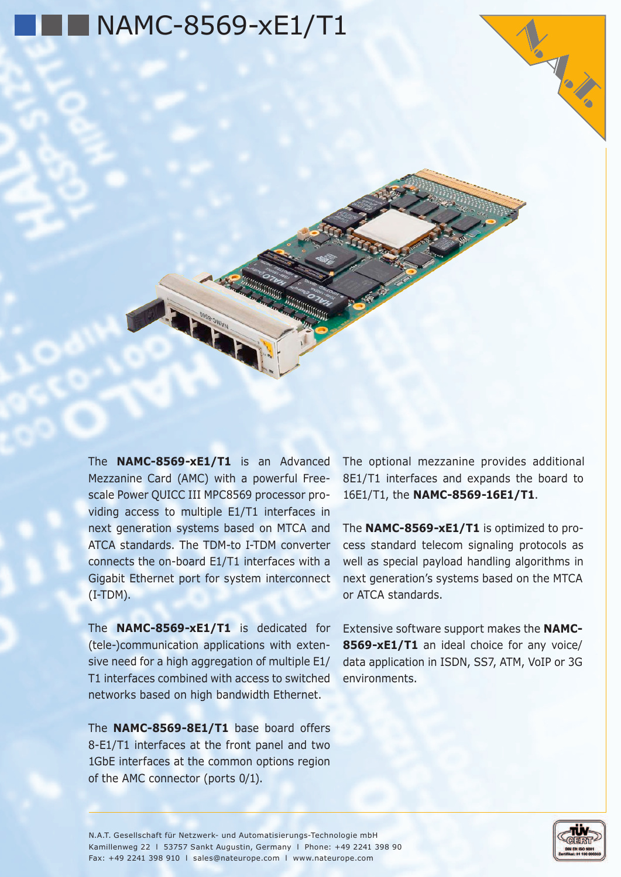

The **NAMC-8569-xE1/T1** is an Advanced Mezzanine Card (AMC) with a powerful Freescale Power QUICC III MPC8569 processor providing access to multiple E1/T1 interfaces in next generation systems based on MTCA and ATCA standards. The TDM-to I-TDM converter connects the on-board E1/T1 interfaces with a Gigabit Ethernet port for system interconnect  $(I-TDM)$ .

The **NAMC-8569-xE1/T1** is dedicated for (tele-)communication applications with extensive need for a high aggregation of multiple E1/ T1 interfaces combined with access to switched networks based on high bandwidth Ethernet.

The **NAMC-8569-8E1/T1** base board offers 8-E1/T1 interfaces at the front panel and two 1GbE interfaces at the common options region of the AMC connector (ports 0/1).

The optional mezzanine provides additional 8E1/T1 interfaces and expands the board to 16E1/T1, the **NAMC-8569-16E1/T1**.

The **NAMC-8569-xE1/T1** is optimized to process standard telecom signaling protocols as well as special payload handling algorithms in next generation's systems based on the MTCA or ATCA standards.

Extensive software support makes the **NAMC-8569-xE1/T1** an ideal choice for any voice/ data application in ISDN, SS7, ATM, VoIP or 3G environments.

N.A.T. Gesellschaft für Netzwerk- und Automatisierungs-Technologie mbH Kamillenweg 22 l 53757 Sankt Augustin, Germany l Phone: +49 2241 398 90 Fax: +49 2241 398 910 l sales@nateurope.com l www.nateurope.com



V. Robert